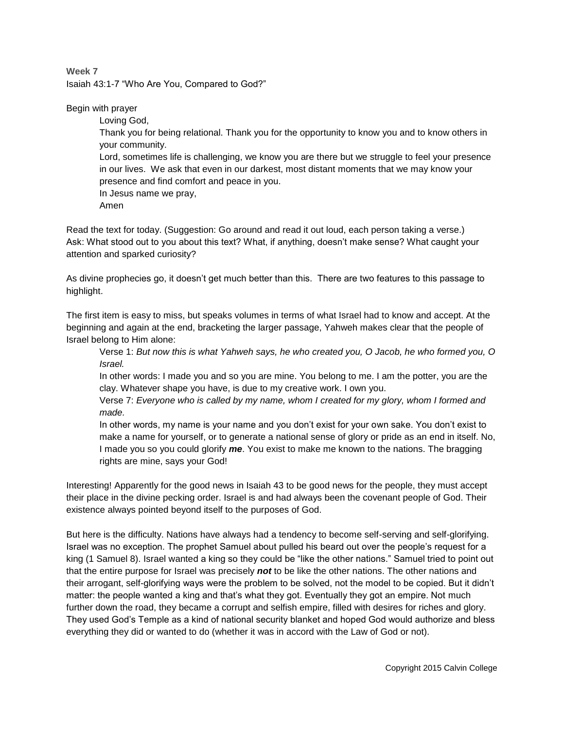**Week 7** Isaiah 43:1-7 "Who Are You, Compared to God?"

Begin with prayer

Loving God, Thank you for being relational. Thank you for the opportunity to know you and to know others in your community. Lord, sometimes life is challenging, we know you are there but we struggle to feel your presence in our lives. We ask that even in our darkest, most distant moments that we may know your presence and find comfort and peace in you. In Jesus name we pray, Amen

Read the text for today. (Suggestion: Go around and read it out loud, each person taking a verse.) Ask: What stood out to you about this text? What, if anything, doesn't make sense? What caught your attention and sparked curiosity?

As divine prophecies go, it doesn't get much better than this. There are two features to this passage to highlight.

The first item is easy to miss, but speaks volumes in terms of what Israel had to know and accept. At the beginning and again at the end, bracketing the larger passage, Yahweh makes clear that the people of Israel belong to Him alone:

Verse 1: *But now this is what Yahweh says, he who created you, O Jacob, he who formed you, O Israel.*

In other words: I made you and so you are mine. You belong to me. I am the potter, you are the clay. Whatever shape you have, is due to my creative work. I own you.

Verse 7: *Everyone who is called by my name, whom I created for my glory, whom I formed and made.*

In other words, my name is your name and you don't exist for your own sake. You don't exist to make a name for yourself, or to generate a national sense of glory or pride as an end in itself. No, I made you so you could glorify *me*. You exist to make me known to the nations. The bragging rights are mine, says your God!

Interesting! Apparently for the good news in Isaiah 43 to be good news for the people, they must accept their place in the divine pecking order. Israel is and had always been the covenant people of God. Their existence always pointed beyond itself to the purposes of God.

But here is the difficulty. Nations have always had a tendency to become self-serving and self-glorifying. Israel was no exception. The prophet Samuel about pulled his beard out over the people's request for a king (1 Samuel 8). Israel wanted a king so they could be "like the other nations." Samuel tried to point out that the entire purpose for Israel was precisely *not* to be like the other nations. The other nations and their arrogant, self-glorifying ways were the problem to be solved, not the model to be copied. But it didn't matter: the people wanted a king and that's what they got. Eventually they got an empire. Not much further down the road, they became a corrupt and selfish empire, filled with desires for riches and glory. They used God's Temple as a kind of national security blanket and hoped God would authorize and bless everything they did or wanted to do (whether it was in accord with the Law of God or not).